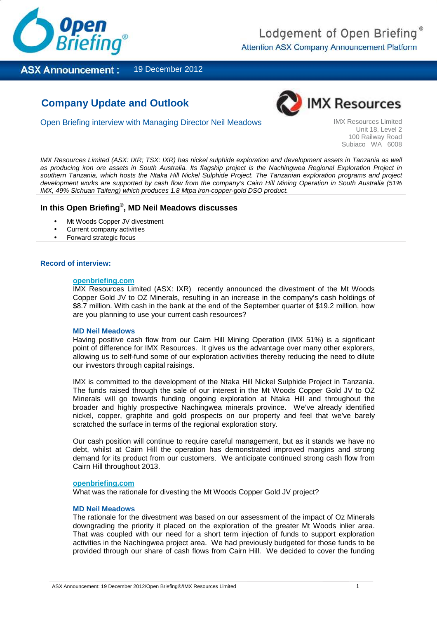

**ASX Announcement:** 19 December 2012

# **Company Update and Outlook**



Open Briefing interview with Managing Director Neil Meadows **IMX Resources Limited** 

Unit 18, Level 2 100 Railway Road Subiaco WA 6008

IMX Resources Limited (ASX: IXR; TSX: IXR) has nickel sulphide exploration and development assets in Tanzania as well as producing iron ore assets in South Australia. Its flagship project is the Nachingwea Regional Exploration Project in southern Tanzania, which hosts the Ntaka Hill Nickel Sulphide Project. The Tanzanian exploration programs and project development works are supported by cash flow from the company's Cairn Hill Mining Operation in South Australia (51% IMX, 49% Sichuan Taifeng) which produces 1.8 Mtpa iron-copper-gold DSO product.

# **In this Open Briefing® , MD Neil Meadows discusses**

- Mt Woods Copper JV divestment
- Current company activities
- Forward strategic focus

# **Record of interview:**

# **openbriefing.com**

IMX Resources Limited (ASX: IXR) recently announced the divestment of the Mt Woods Copper Gold JV to OZ Minerals, resulting in an increase in the company's cash holdings of \$8.7 million. With cash in the bank at the end of the September quarter of \$19.2 million, how are you planning to use your current cash resources?

# **MD Neil Meadows**

Having positive cash flow from our Cairn Hill Mining Operation (IMX 51%) is a significant point of difference for IMX Resources. It gives us the advantage over many other explorers, allowing us to self-fund some of our exploration activities thereby reducing the need to dilute our investors through capital raisings.

IMX is committed to the development of the Ntaka Hill Nickel Sulphide Project in Tanzania. The funds raised through the sale of our interest in the Mt Woods Copper Gold JV to OZ Minerals will go towards funding ongoing exploration at Ntaka Hill and throughout the broader and highly prospective Nachingwea minerals province. We've already identified nickel, copper, graphite and gold prospects on our property and feel that we've barely scratched the surface in terms of the regional exploration story.

Our cash position will continue to require careful management, but as it stands we have no debt, whilst at Cairn Hill the operation has demonstrated improved margins and strong demand for its product from our customers. We anticipate continued strong cash flow from Cairn Hill throughout 2013.

# **openbriefing.com**

What was the rationale for divesting the Mt Woods Copper Gold JV project?

# **MD Neil Meadows**

The rationale for the divestment was based on our assessment of the impact of Oz Minerals downgrading the priority it placed on the exploration of the greater Mt Woods inlier area. That was coupled with our need for a short term injection of funds to support exploration activities in the Nachingwea project area. We had previously budgeted for those funds to be provided through our share of cash flows from Cairn Hill. We decided to cover the funding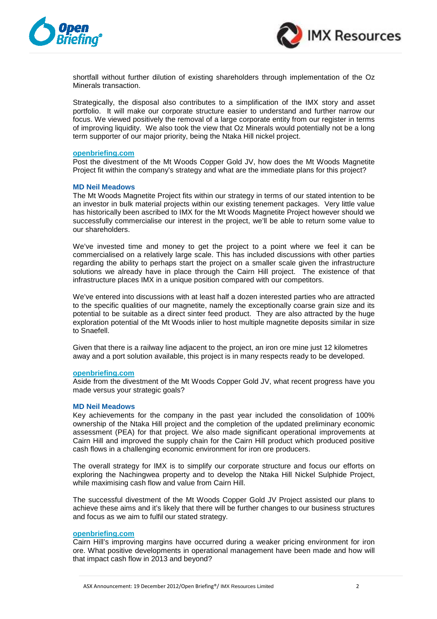



shortfall without further dilution of existing shareholders through implementation of the Oz Minerals transaction.

Strategically, the disposal also contributes to a simplification of the IMX story and asset portfolio. It will make our corporate structure easier to understand and further narrow our focus. We viewed positively the removal of a large corporate entity from our register in terms of improving liquidity. We also took the view that Oz Minerals would potentially not be a long term supporter of our major priority, being the Ntaka Hill nickel project.

# **openbriefing.com**

Post the divestment of the Mt Woods Copper Gold JV, how does the Mt Woods Magnetite Project fit within the company's strategy and what are the immediate plans for this project?

# **MD Neil Meadows**

The Mt Woods Magnetite Project fits within our strategy in terms of our stated intention to be an investor in bulk material projects within our existing tenement packages. Very little value has historically been ascribed to IMX for the Mt Woods Magnetite Project however should we successfully commercialise our interest in the project, we'll be able to return some value to our shareholders.

We've invested time and money to get the project to a point where we feel it can be commercialised on a relatively large scale. This has included discussions with other parties regarding the ability to perhaps start the project on a smaller scale given the infrastructure solutions we already have in place through the Cairn Hill project. The existence of that infrastructure places IMX in a unique position compared with our competitors.

We've entered into discussions with at least half a dozen interested parties who are attracted to the specific qualities of our magnetite, namely the exceptionally coarse grain size and its potential to be suitable as a direct sinter feed product. They are also attracted by the huge exploration potential of the Mt Woods inlier to host multiple magnetite deposits similar in size to Snaefell.

Given that there is a railway line adjacent to the project, an iron ore mine just 12 kilometres away and a port solution available, this project is in many respects ready to be developed.

# **openbriefing.com**

Aside from the divestment of the Mt Woods Copper Gold JV, what recent progress have you made versus your strategic goals?

#### **MD Neil Meadows**

Key achievements for the company in the past year included the consolidation of 100% ownership of the Ntaka Hill project and the completion of the updated preliminary economic assessment (PEA) for that project. We also made significant operational improvements at Cairn Hill and improved the supply chain for the Cairn Hill product which produced positive cash flows in a challenging economic environment for iron ore producers.

The overall strategy for IMX is to simplify our corporate structure and focus our efforts on exploring the Nachingwea property and to develop the Ntaka Hill Nickel Sulphide Project, while maximising cash flow and value from Cairn Hill.

The successful divestment of the Mt Woods Copper Gold JV Project assisted our plans to achieve these aims and it's likely that there will be further changes to our business structures and focus as we aim to fulfil our stated strategy.

# **openbriefing.com**

Cairn Hill's improving margins have occurred during a weaker pricing environment for iron ore. What positive developments in operational management have been made and how will that impact cash flow in 2013 and beyond?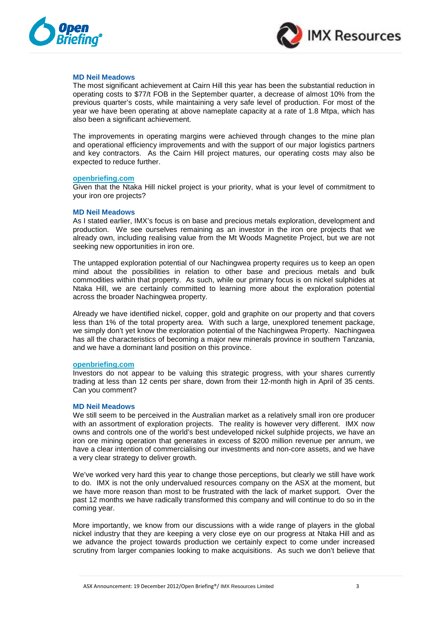



# **MD Neil Meadows**

The most significant achievement at Cairn Hill this year has been the substantial reduction in operating costs to \$77/t FOB in the September quarter, a decrease of almost 10% from the previous quarter's costs, while maintaining a very safe level of production. For most of the year we have been operating at above nameplate capacity at a rate of 1.8 Mtpa, which has also been a significant achievement.

The improvements in operating margins were achieved through changes to the mine plan and operational efficiency improvements and with the support of our major logistics partners and key contractors. As the Cairn Hill project matures, our operating costs may also be expected to reduce further.

# **openbriefing.com**

Given that the Ntaka Hill nickel project is your priority, what is your level of commitment to your iron ore projects?

# **MD Neil Meadows**

As I stated earlier, IMX's focus is on base and precious metals exploration, development and production. We see ourselves remaining as an investor in the iron ore projects that we already own, including realising value from the Mt Woods Magnetite Project, but we are not seeking new opportunities in iron ore.

The untapped exploration potential of our Nachingwea property requires us to keep an open mind about the possibilities in relation to other base and precious metals and bulk commodities within that property. As such, while our primary focus is on nickel sulphides at Ntaka Hill, we are certainly committed to learning more about the exploration potential across the broader Nachingwea property.

Already we have identified nickel, copper, gold and graphite on our property and that covers less than 1% of the total property area. With such a large, unexplored tenement package, we simply don't yet know the exploration potential of the Nachingwea Property. Nachingwea has all the characteristics of becoming a major new minerals province in southern Tanzania, and we have a dominant land position on this province.

# **openbriefing.com**

Investors do not appear to be valuing this strategic progress, with your shares currently trading at less than 12 cents per share, down from their 12-month high in April of 35 cents. Can you comment?

# **MD Neil Meadows**

We still seem to be perceived in the Australian market as a relatively small iron ore producer with an assortment of exploration projects. The reality is however very different. IMX now owns and controls one of the world's best undeveloped nickel sulphide projects, we have an iron ore mining operation that generates in excess of \$200 million revenue per annum, we have a clear intention of commercialising our investments and non-core assets, and we have a very clear strategy to deliver growth.

We've worked very hard this year to change those perceptions, but clearly we still have work to do. IMX is not the only undervalued resources company on the ASX at the moment, but we have more reason than most to be frustrated with the lack of market support. Over the past 12 months we have radically transformed this company and will continue to do so in the coming year.

More importantly, we know from our discussions with a wide range of players in the global nickel industry that they are keeping a very close eye on our progress at Ntaka Hill and as we advance the project towards production we certainly expect to come under increased scrutiny from larger companies looking to make acquisitions. As such we don't believe that